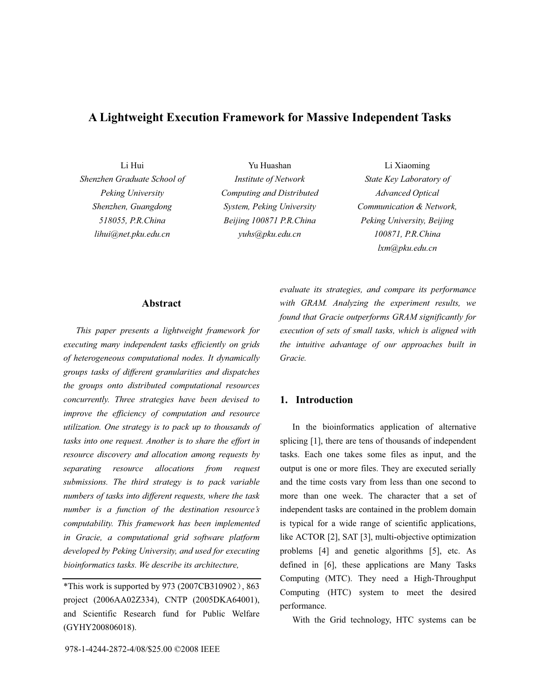# **A Lightweight Execution Framework for Massive Independent Tasks**

Li Hui

*Shenzhen Graduate School of Peking University Shenzhen, Guangdong 518055, P.R.China lihui@net.pku.edu.cn* 

Yu Huashan *Institute of Network Computing and Distributed System, Peking University Beijing 100871 P.R.China yuhs@pku.edu.cn* 

Li Xiaoming *State Key Laboratory of Advanced Optical Communication & Network, Peking University, Beijing 100871, P.R.China lxm@pku.edu.cn*

#### **Abstract**

*This paper presents a lightweight framework for executing many independent tasks efficiently on grids of heterogeneous computational nodes. It dynamically groups tasks of different granularities and dispatches the groups onto distributed computational resources concurrently. Three strategies have been devised to improve the efficiency of computation and resource utilization. One strategy is to pack up to thousands of tasks into one request. Another is to share the effort in resource discovery and allocation among requests by separating resource allocations from request submissions. The third strategy is to pack variable numbers of tasks into different requests, where the task number is a function of the destination resource's computability. This framework has been implemented in Gracie, a computational grid software platform developed by Peking University, and used for executing bioinformatics tasks. We describe its architecture,* 

\*This work is supported by  $973 (2007CB310902)$ ,  $863$ project (2006AA02Z334), CNTP (2005DKA64001), and Scientific Research fund for Public Welfare (GYHY200806018).

*evaluate its strategies, and compare its performance with GRAM. Analyzing the experiment results, we found that Gracie outperforms GRAM significantly for execution of sets of small tasks, which is aligned with the intuitive advantage of our approaches built in Gracie.* 

## **1. Introduction**

In the bioinformatics application of alternative splicing [1], there are tens of thousands of independent tasks. Each one takes some files as input, and the output is one or more files. They are executed serially and the time costs vary from less than one second to more than one week. The character that a set of independent tasks are contained in the problem domain is typical for a wide range of scientific applications, like ACTOR [2], SAT [3], multi-objective optimization problems [4] and genetic algorithms [5], etc. As defined in [6], these applications are Many Tasks Computing (MTC). They need a High-Throughput Computing (HTC) system to meet the desired performance.

With the Grid technology, HTC systems can be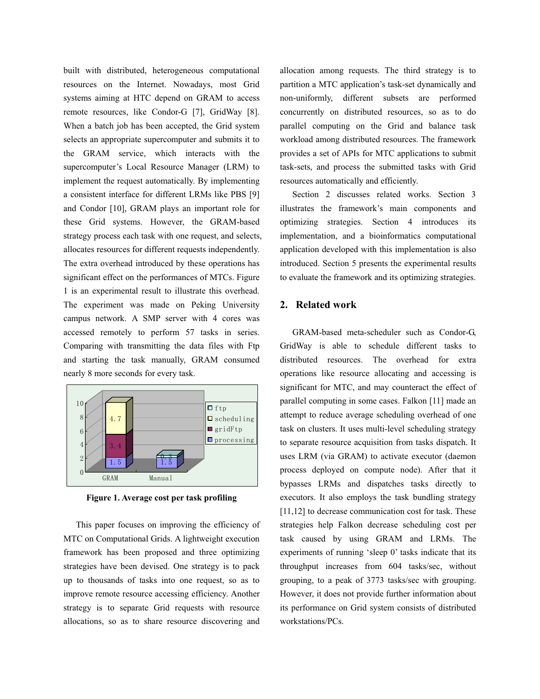built with distributed, heterogeneous computational resources on the Internet. Nowadays, most Grid systems aiming at HTC depend on GRAM to access remote resources, like Condor-G [7], GridWay [8]. When a batch job has been accepted, the Grid system selects an appropriate supercomputer and submits it to the GRAM service, which interacts with the supercomputer's Local Resource Manager (LRM) to implement the request automatically. By implementing a consistent interface for different LRMs like PBS [9] and Condor [10], GRAM plays an important role for these Grid systems. However, the GRAM-based strategy process each task with one request, and selects, allocates resources for different requests independently. The extra overhead introduced by these operations has significant effect on the performances of MTCs. Figure 1 is an experimental result to illustrate this overhead. The experiment was made on Peking University campus network. A SMP server with 4 cores was accessed remotely to perform 57 tasks in series. Comparing with transmitting the data files with Ftp and starting the task manually, GRAM consumed nearly 8 more seconds for every task.



**Figure 1. Average cost per task profiling** 

This paper focuses on improving the efficiency of MTC on Computational Grids. A lightweight execution framework has been proposed and three optimizing strategies have been devised. One strategy is to pack up to thousands of tasks into one request, so as to improve remote resource accessing efficiency. Another strategy is to separate Grid requests with resource allocations, so as to share resource discovering and allocation among requests. The third strategy is to partition a MTC application's task-set dynamically and non-uniformly, different subsets are performed concurrently on distributed resources, so as to do parallel computing on the Grid and balance task workload among distributed resources. The framework provides a set of APIs for MTC applications to submit task-sets, and process the submitted tasks with Grid resources automatically and efficiently.

Section 2 discusses related works. Section 3 illustrates the framework's main components and optimizing strategies. Section 4 introduces its implementation, and a bioinformatics computational application developed with this implementation is also introduced. Section 5 presents the experimental results to evaluate the framework and its optimizing strategies.

## **2. Related work**

GRAM-based meta-scheduler such as Condor-G, GridWay is able to schedule different tasks to distributed resources. The overhead for extra operations like resource allocating and accessing is significant for MTC, and may counteract the effect of parallel computing in some cases. Falkon [11] made an attempt to reduce average scheduling overhead of one task on clusters. It uses multi-level scheduling strategy to separate resource acquisition from tasks dispatch. It uses LRM (via GRAM) to activate executor (daemon process deployed on compute node). After that it bypasses LRMs and dispatches tasks directly to executors. It also employs the task bundling strategy [11,12] to decrease communication cost for task. These strategies help Falkon decrease scheduling cost per task caused by using GRAM and LRMs. The experiments of running 'sleep 0' tasks indicate that its throughput increases from 604 tasks/sec, without grouping, to a peak of 3773 tasks/sec with grouping. However, it does not provide further information about its performance on Grid system consists of distributed workstations/PCs.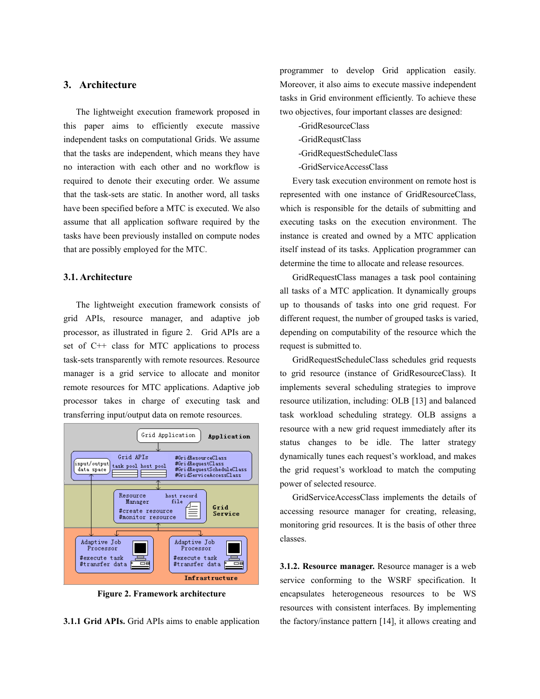# **3. Architecture**

The lightweight execution framework proposed in this paper aims to efficiently execute massive independent tasks on computational Grids. We assume that the tasks are independent, which means they have no interaction with each other and no workflow is required to denote their executing order. We assume that the task-sets are static. In another word, all tasks have been specified before a MTC is executed. We also assume that all application software required by the tasks have been previously installed on compute nodes that are possibly employed for the MTC.

## **3.1. Architecture**

The lightweight execution framework consists of grid APIs, resource manager, and adaptive job processor, as illustrated in figure 2. Grid APIs are a set of C++ class for MTC applications to process task-sets transparently with remote resources. Resource manager is a grid service to allocate and monitor remote resources for MTC applications. Adaptive job processor takes in charge of executing task and transferring input/output data on remote resources.



**Figure 2. Framework architecture**

**3.1.1 Grid APIs.** Grid APIs aims to enable application

programmer to develop Grid application easily. Moreover, it also aims to execute massive independent tasks in Grid environment efficiently. To achieve these two objectives, four important classes are designed:

- -GridResourceClass
- -GridRequstClass
- -GridRequestScheduleClass
- -GridServiceAccessClass

Every task execution environment on remote host is represented with one instance of GridResourceClass, which is responsible for the details of submitting and executing tasks on the execution environment. The instance is created and owned by a MTC application itself instead of its tasks. Application programmer can determine the time to allocate and release resources.

GridRequestClass manages a task pool containing all tasks of a MTC application. It dynamically groups up to thousands of tasks into one grid request. For different request, the number of grouped tasks is varied, depending on computability of the resource which the request is submitted to.

GridRequestScheduleClass schedules grid requests to grid resource (instance of GridResourceClass). It implements several scheduling strategies to improve resource utilization, including: OLB [13] and balanced task workload scheduling strategy. OLB assigns a resource with a new grid request immediately after its status changes to be idle. The latter strategy dynamically tunes each request's workload, and makes the grid request's workload to match the computing power of selected resource.

GridServiceAccessClass implements the details of accessing resource manager for creating, releasing, monitoring grid resources. It is the basis of other three classes.

**3.1.2. Resource manager.** Resource manager is a web service conforming to the WSRF specification. It encapsulates heterogeneous resources to be WS resources with consistent interfaces. By implementing the factory/instance pattern [14], it allows creating and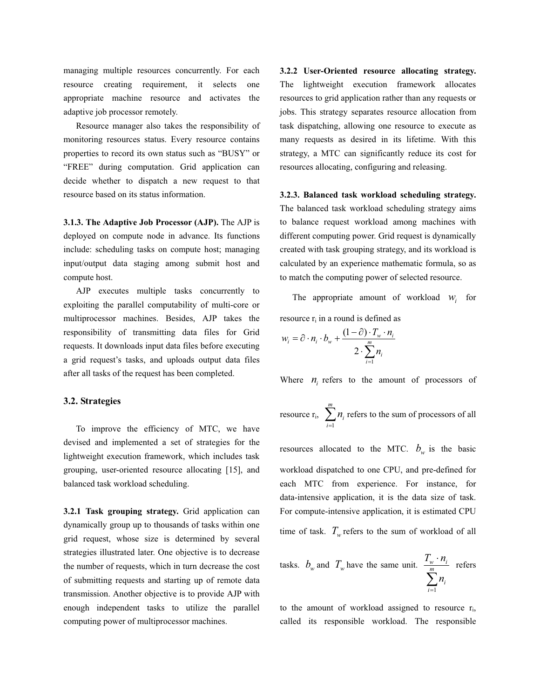managing multiple resources concurrently. For each resource creating requirement, it selects one appropriate machine resource and activates the adaptive job processor remotely.

Resource manager also takes the responsibility of monitoring resources status. Every resource contains properties to record its own status such as "BUSY" or "FREE" during computation. Grid application can decide whether to dispatch a new request to that resource based on its status information.

**3.1.3. The Adaptive Job Processor (AJP).** The AJP is deployed on compute node in advance. Its functions include: scheduling tasks on compute host; managing input/output data staging among submit host and compute host.

AJP executes multiple tasks concurrently to exploiting the parallel computability of multi-core or multiprocessor machines. Besides, AJP takes the responsibility of transmitting data files for Grid requests. It downloads input data files before executing a grid request's tasks, and uploads output data files after all tasks of the request has been completed.

#### **3.2. Strategies**

To improve the efficiency of MTC, we have devised and implemented a set of strategies for the lightweight execution framework, which includes task grouping, user-oriented resource allocating [15], and balanced task workload scheduling.

**3.2.1 Task grouping strategy.** Grid application can dynamically group up to thousands of tasks within one grid request, whose size is determined by several strategies illustrated later. One objective is to decrease the number of requests, which in turn decrease the cost of submitting requests and starting up of remote data transmission. Another objective is to provide AJP with enough independent tasks to utilize the parallel computing power of multiprocessor machines.

**3.2.2 User-Oriented resource allocating strategy.**  The lightweight execution framework allocates resources to grid application rather than any requests or jobs. This strategy separates resource allocation from task dispatching, allowing one resource to execute as many requests as desired in its lifetime. With this strategy, a MTC can significantly reduce its cost for resources allocating, configuring and releasing.

**3.2.3. Balanced task workload scheduling strategy.**  The balanced task workload scheduling strategy aims to balance request workload among machines with different computing power. Grid request is dynamically created with task grouping strategy, and its workload is calculated by an experience mathematic formula, so as to match the computing power of selected resource.

The appropriate amount of workload  $W_i$  for resource  $r_i$  in a round is defined as

$$
w_i = \partial \cdot n_i \cdot b_w + \frac{(1-\partial) \cdot T_w \cdot n_i}{2 \cdot \sum_{i=1}^{m} n_i}
$$

Where  $n_i$  refers to the amount of processors of

resource 
$$
r_i
$$
,  $\sum_{i=1}^{m} n_i$  refers to the sum of processors of all

resources allocated to the MTC.  $b_w$  is the basic workload dispatched to one CPU, and pre-defined for each MTC from experience. For instance, for data-intensive application, it is the data size of task. For compute-intensive application, it is estimated CPU

time of task.  $T_w$  refers to the sum of workload of all

tasks. 
$$
b_w
$$
 and  $T_w$  have the same unit. 
$$
\frac{T_w \cdot n_i}{\sum_{i=1}^m n_i}
$$
 refers

to the amount of workload assigned to resource ri, called its responsible workload. The responsible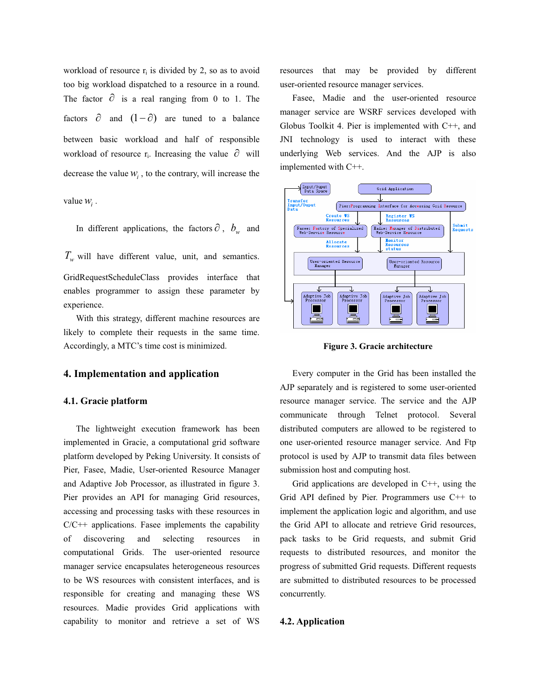workload of resource  $r_i$  is divided by 2, so as to avoid too big workload dispatched to a resource in a round. The factor  $\partial$  is a real ranging from 0 to 1. The factors  $\partial$  and  $(1 - \partial)$  are tuned to a balance between basic workload and half of responsible workload of resource  $r_i$ . Increasing the value  $\partial$  will decrease the value  $W_i$ , to the contrary, will increase the value  $W_i$ .

In different applications, the factors  $\partial$ ,  $b_w$  and  $T_w$  will have different value, unit, and semantics. GridRequestScheduleClass provides interface that enables programmer to assign these parameter by experience.

With this strategy, different machine resources are likely to complete their requests in the same time. Accordingly, a MTC's time cost is minimized.

# **4. Implementation and application**

### **4.1. Gracie platform**

The lightweight execution framework has been implemented in Gracie, a computational grid software platform developed by Peking University. It consists of Pier, Fasee, Madie, User-oriented Resource Manager and Adaptive Job Processor, as illustrated in figure 3. Pier provides an API for managing Grid resources, accessing and processing tasks with these resources in  $C/C++$  applications. Fasee implements the capability of discovering and selecting resources in computational Grids. The user-oriented resource manager service encapsulates heterogeneous resources to be WS resources with consistent interfaces, and is responsible for creating and managing these WS resources. Madie provides Grid applications with capability to monitor and retrieve a set of WS

resources that may be provided by different user-oriented resource manager services.

Fasee, Madie and the user-oriented resource manager service are WSRF services developed with Globus Toolkit 4. Pier is implemented with C++, and JNI technology is used to interact with these underlying Web services. And the AJP is also implemented with C++.



**Figure 3. Gracie architecture** 

Every computer in the Grid has been installed the AJP separately and is registered to some user-oriented resource manager service. The service and the AJP communicate through Telnet protocol. Several distributed computers are allowed to be registered to one user-oriented resource manager service. And Ftp protocol is used by AJP to transmit data files between submission host and computing host.

Grid applications are developed in C++, using the Grid API defined by Pier. Programmers use C++ to implement the application logic and algorithm, and use the Grid API to allocate and retrieve Grid resources, pack tasks to be Grid requests, and submit Grid requests to distributed resources, and monitor the progress of submitted Grid requests. Different requests are submitted to distributed resources to be processed concurrently.

#### **4.2. Application**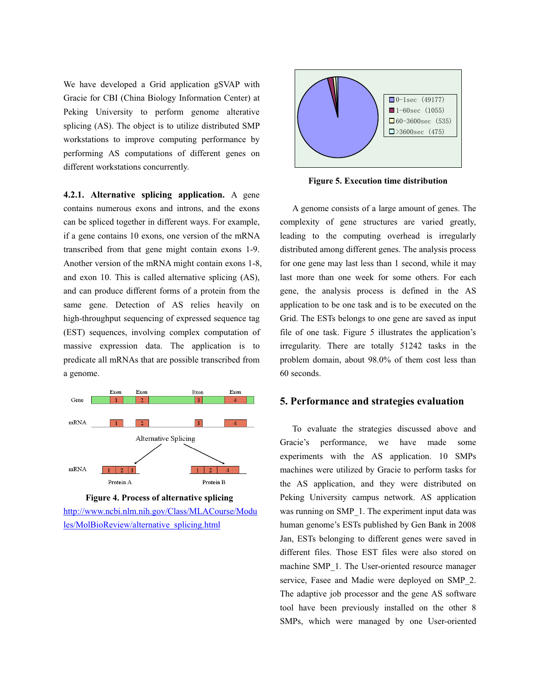We have developed a Grid application gSVAP with Gracie for CBI (China Biology Information Center) at Peking University to perform genome alterative splicing (AS). The object is to utilize distributed SMP workstations to improve computing performance by performing AS computations of different genes on different workstations concurrently.

**4.2.1. Alternative splicing application.** A gene contains numerous exons and introns, and the exons can be spliced together in different ways. For example, if a gene contains 10 exons, one version of the mRNA transcribed from that gene might contain exons 1-9. Another version of the mRNA might contain exons 1-8, and exon 10. This is called alternative splicing (AS), and can produce different forms of a protein from the same gene. Detection of AS relies heavily on high-throughput sequencing of expressed sequence tag (EST) sequences, involving complex computation of massive expression data. The application is to predicate all mRNAs that are possible transcribed from a genome.





http://www.ncbi.nlm.nih.gov/Class/MLACourse/Modu les/MolBioReview/alternative\_splicing.html



**Figure 5. Execution time distribution** 

A genome consists of a large amount of genes. The complexity of gene structures are varied greatly, leading to the computing overhead is irregularly distributed among different genes. The analysis process for one gene may last less than 1 second, while it may last more than one week for some others. For each gene, the analysis process is defined in the AS application to be one task and is to be executed on the Grid. The ESTs belongs to one gene are saved as input file of one task. Figure 5 illustrates the application's irregularity. There are totally 51242 tasks in the problem domain, about 98.0% of them cost less than 60 seconds.

### **5. Performance and strategies evaluation**

To evaluate the strategies discussed above and Gracie's performance, we have made some experiments with the AS application. 10 SMPs machines were utilized by Gracie to perform tasks for the AS application, and they were distributed on Peking University campus network. AS application was running on SMP 1. The experiment input data was human genome's ESTs published by Gen Bank in 2008 Jan, ESTs belonging to different genes were saved in different files. Those EST files were also stored on machine SMP 1. The User-oriented resource manager service, Fasee and Madie were deployed on SMP\_2. The adaptive job processor and the gene AS software tool have been previously installed on the other 8 SMPs, which were managed by one User-oriented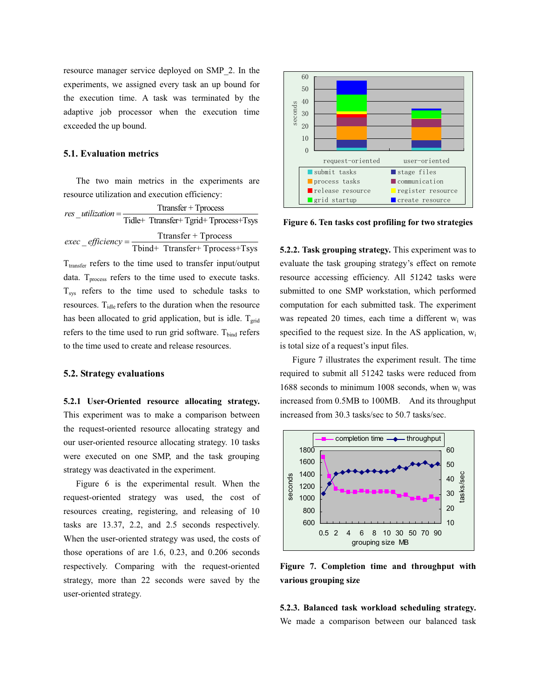resource manager service deployed on SMP\_2. In the experiments, we assigned every task an up bound for the execution time. A task was terminated by the adaptive job processor when the execution time exceeded the up bound.

#### **5.1. Evaluation metrics**

The two main metrics in the experiments are resource utilization and execution efficiency:

| $res$ <i>utilization</i> = | $T$ transfer + $T$ process             |
|----------------------------|----------------------------------------|
|                            | Tidle+ Ttransfer+ Tgrid+ Tprocess+Tsys |
| $exec\_efficiency =$       | Ttransfer + Tprocess                   |
|                            | Tbind+ Ttransfer+ Tprocess+Tsys        |

Ttransfer refers to the time used to transfer input/output data.  $T_{process}$  refers to the time used to execute tasks.  $T_{sys}$  refers to the time used to schedule tasks to resources. T<sub>idle</sub> refers to the duration when the resource has been allocated to grid application, but is idle.  $T_{grid}$ refers to the time used to run grid software.  $T<sub>bind</sub>$  refers to the time used to create and release resources.

#### **5.2. Strategy evaluations**

**5.2.1 User-Oriented resource allocating strategy.**  This experiment was to make a comparison between the request-oriented resource allocating strategy and our user-oriented resource allocating strategy. 10 tasks were executed on one SMP, and the task grouping strategy was deactivated in the experiment.

Figure 6 is the experimental result. When the request-oriented strategy was used, the cost of resources creating, registering, and releasing of 10 tasks are 13.37, 2.2, and 2.5 seconds respectively. When the user-oriented strategy was used, the costs of those operations of are 1.6, 0.23, and 0.206 seconds respectively. Comparing with the request-oriented strategy, more than 22 seconds were saved by the user-oriented strategy.



**Figure 6. Ten tasks cost profiling for two strategies**

**5.2.2. Task grouping strategy.** This experiment was to evaluate the task grouping strategy's effect on remote resource accessing efficiency. All 51242 tasks were submitted to one SMP workstation, which performed computation for each submitted task. The experiment was repeated 20 times, each time a different  $w_i$  was specified to the request size. In the AS application, wi is total size of a request's input files.

Figure 7 illustrates the experiment result. The time required to submit all 51242 tasks were reduced from 1688 seconds to minimum 1008 seconds, when  $w_i$  was increased from 0.5MB to 100MB. And its throughput increased from 30.3 tasks/sec to 50.7 tasks/sec.



**Figure 7. Completion time and throughput with various grouping size** 

**5.2.3. Balanced task workload scheduling strategy.**  We made a comparison between our balanced task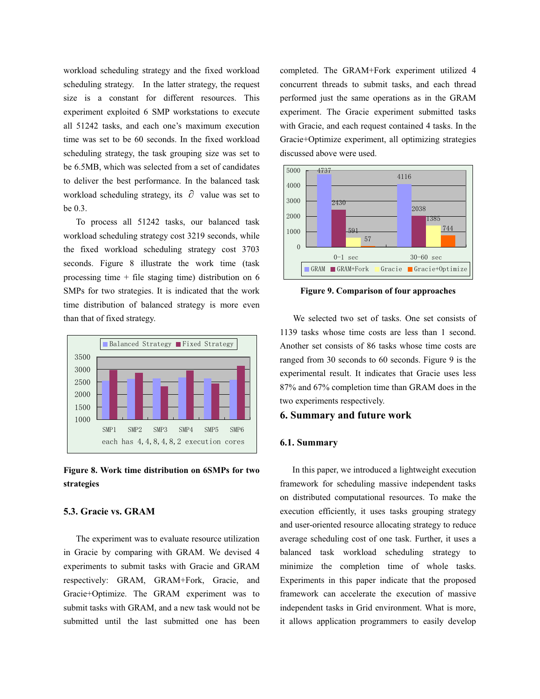workload scheduling strategy and the fixed workload scheduling strategy. In the latter strategy, the request size is a constant for different resources. This experiment exploited 6 SMP workstations to execute all 51242 tasks, and each one's maximum execution time was set to be 60 seconds. In the fixed workload scheduling strategy, the task grouping size was set to be 6.5MB, which was selected from a set of candidates to deliver the best performance. In the balanced task workload scheduling strategy, its  $\partial$  value was set to be 0.3.

To process all 51242 tasks, our balanced task workload scheduling strategy cost 3219 seconds, while the fixed workload scheduling strategy cost 3703 seconds. Figure 8 illustrate the work time (task processing time  $+$  file staging time) distribution on 6 SMPs for two strategies. It is indicated that the work time distribution of balanced strategy is more even than that of fixed strategy.



**Figure 8. Work time distribution on 6SMPs for two strategies**

## **5.3. Gracie vs. GRAM**

The experiment was to evaluate resource utilization in Gracie by comparing with GRAM. We devised 4 experiments to submit tasks with Gracie and GRAM respectively: GRAM, GRAM+Fork, Gracie, and Gracie+Optimize. The GRAM experiment was to submit tasks with GRAM, and a new task would not be submitted until the last submitted one has been completed. The GRAM+Fork experiment utilized 4 concurrent threads to submit tasks, and each thread performed just the same operations as in the GRAM experiment. The Gracie experiment submitted tasks with Gracie, and each request contained 4 tasks. In the Gracie+Optimize experiment, all optimizing strategies discussed above were used.



**Figure 9. Comparison of four approaches** 

We selected two set of tasks. One set consists of 1139 tasks whose time costs are less than 1 second. Another set consists of 86 tasks whose time costs are ranged from 30 seconds to 60 seconds. Figure 9 is the experimental result. It indicates that Gracie uses less 87% and 67% completion time than GRAM does in the two experiments respectively.

## **6. Summary and future work**

#### **6.1. Summary**

In this paper, we introduced a lightweight execution framework for scheduling massive independent tasks on distributed computational resources. To make the execution efficiently, it uses tasks grouping strategy and user-oriented resource allocating strategy to reduce average scheduling cost of one task. Further, it uses a balanced task workload scheduling strategy to minimize the completion time of whole tasks. Experiments in this paper indicate that the proposed framework can accelerate the execution of massive independent tasks in Grid environment. What is more, it allows application programmers to easily develop